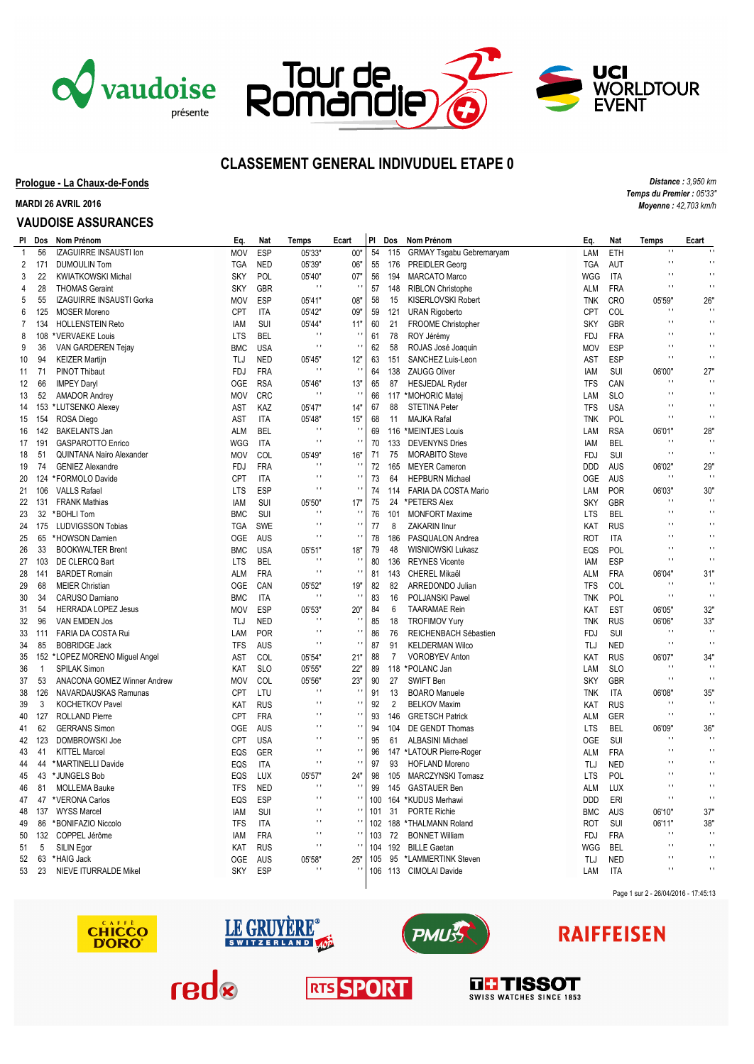





*Distance : 3,950 km Temps du Premier : 05'33" Moyenne : 42,703 km/h*

## **CLASSEMENT GENERAL INDIVUDUEL ETAPE 0**

**Prologue - La Chaux-de-Fonds**

**MARDI 26 AVRIL 2016**

### **VAUDOISE ASSURANCES**

|                | PI Dos   | Nom Prénom                      | Eq.                      | Nat        | Temps                                  | Ecart                    | PI  | Dos            | Nom Prénom                      | Eq.        | Nat        | <b>Temps</b>             | Ecart                      |
|----------------|----------|---------------------------------|--------------------------|------------|----------------------------------------|--------------------------|-----|----------------|---------------------------------|------------|------------|--------------------------|----------------------------|
| 1              | 56       | IZAGUIRRE INSAUSTI Ion          | <b>MOV</b>               | <b>ESP</b> | 05'33"                                 | 00"                      | 54  | 115            | <b>GRMAY Tsgabu Gebremaryam</b> | LAM        | ETH        | $\blacksquare$           |                            |
| 2              | 171      | <b>DUMOULIN Tom</b>             | <b>TGA</b>               | <b>NED</b> | 05'39"                                 | 06"                      | 55  | 176            | <b>PREIDLER Georg</b>           | <b>TGA</b> | AUT        | Ō,                       | $\mathbf{L}$               |
| 3              | 22       | <b>KWIATKOWSKI Michal</b>       | <b>SKY</b>               | POL        | 05'40"                                 | 07"                      | 56  | 194            | <b>MARCATO Marco</b>            | WGG        | <b>ITA</b> | Ō,                       | $\mathbf{L}$               |
| 4              | 28       | <b>THOMAS Geraint</b>           | <b>SKY</b>               | <b>GBR</b> | $\pm$ 1                                | $\blacksquare$           | 57  | 148            | <b>RIBLON Christophe</b>        | <b>ALM</b> | <b>FRA</b> | Ĥ,                       | $\bar{\phantom{a}}$        |
| 5              | 55       | IZAGUIRRE INSAUSTI Gorka        | <b>MOV</b>               | <b>ESP</b> | 05'41"                                 | 08"                      | 58  | 15             | KISERLOVSKI Robert              | <b>TNK</b> | <b>CRO</b> | 05'59"                   | 26'                        |
| 6              | 125      | <b>MOSER Moreno</b>             | <b>CPT</b>               | <b>ITA</b> | 05'42"                                 | 09"                      | 59  | 121            | <b>URAN Rigoberto</b>           | <b>CPT</b> | COL        | Ō,                       | $\mathbf{L}$               |
| $\overline{7}$ | 134      | <b>HOLLENSTEIN Reto</b>         | IAM                      | SUI        | 05'44"                                 | 11"                      | 60  | 21             | FROOME Christopher              | <b>SKY</b> | GBR        | ū                        | $\mathbf{L}$               |
| 8              | 108      | *VERVAEKE Louis                 | <b>LTS</b>               | <b>BEL</b> | $\blacksquare$                         | $\blacksquare$           | 61  | 78             | ROY Jérémy                      | FDJ        | <b>FRA</b> | Ō,                       | $\blacksquare$             |
| 9              | 36       | VAN GARDEREN Tejay              | <b>BMC</b>               | <b>USA</b> | $\blacksquare$                         | $\mathbf{r}$             | 62  | 58             | ROJAS José Joaquin              | <b>MOV</b> | ESP        | Ĥ,                       | $\mathbf{L}$               |
| 10             | 94       | <b>KEIZER Martijn</b>           | TLJ                      | <b>NED</b> | 05'45'                                 | 12"                      | 63  | 151            | SANCHEZ Luis-Leon               | AST        | <b>ESP</b> | $\ddot{\phantom{1}}$     | $\bar{\phantom{a}}$        |
| 11             | 71       | PINOT Thibaut                   | <b>FDJ</b>               | <b>FRA</b> | $\blacksquare$                         | $\pm$                    | 64  | 138            | <b>ZAUGG Oliver</b>             | IAM        | SUI        | 06'00"                   | 27"                        |
| 12             | 66       | <b>IMPEY Daryl</b>              | <b>OGE</b>               | <b>RSA</b> | 05'46"                                 | 13"                      | 65  | 87             | <b>HESJEDAL Ryder</b>           | <b>TFS</b> | CAN        | Ĥ,                       | $\pm$                      |
| 13             | 52       | <b>AMADOR Andrey</b>            | <b>MOV</b>               | CRC        | $\blacksquare$                         | $\blacksquare$           | 66  | 117            | *MOHORIC Matej                  | LAM        | <b>SLO</b> | Ĥ,                       | $\mathbf{L}$               |
| 14             |          | 153 *LUTSENKO Alexey            | AST                      | KAZ        | 05'47"                                 | 14"                      | 67  | 88             | <b>STETINA Peter</b>            | <b>TFS</b> | <b>USA</b> | Ō,                       | $\overline{\phantom{a}}$   |
| 15             | 154      | ROSA Diego                      | AST                      | <b>ITA</b> | 05'48"                                 | 15"                      | 68  | 11             | <b>MAJKA Rafal</b>              | <b>TNK</b> | POL        | Ĥ,                       | $\mathbf{L}$               |
| 16             | 142      | <b>BAKELANTS Jan</b>            | <b>ALM</b>               | <b>BEL</b> | $\blacksquare$                         | $\blacksquare$           | 69  | 116            | *MEINTJES Louis                 | LAM        | <b>RSA</b> | 06'01"                   | 28"                        |
| 17             | 191      | <b>GASPAROTTO Enrico</b>        | <b>WGG</b>               | <b>ITA</b> | $\blacksquare$                         | $\mathbf{u}$             | 70  | 133            | <b>DEVENYNS Dries</b>           | IAM        | <b>BEL</b> | u                        | $\bar{a}$                  |
| 18             | 51       | <b>QUINTANA Nairo Alexander</b> | <b>MOV</b>               | COL        | 05'49"                                 | 16"                      | 71  | 75             | <b>MORABITO Steve</b>           | FDJ        | SUI        | $\ddot{\phantom{1}}$     | $\bar{\phantom{a}}$        |
| 19             | 74       | <b>GENIEZ Alexandre</b>         | <b>FDJ</b>               | <b>FRA</b> | $\blacksquare$                         | $\pm$                    | 72  | 165            | <b>MEYER Cameron</b>            | <b>DDD</b> | <b>AUS</b> | 06'02"                   | 29"                        |
| 20             |          | 124 *FORMOLO Davide             | <b>CPT</b>               | <b>ITA</b> | $\blacksquare$                         | $\mathbf{r}$             | 73  | 64             | <b>HEPBURN Michael</b>          | 0GE        | AUS        | ÷,                       | $\pm$                      |
| 21             | 106      | <b>VALLS Rafael</b>             | <b>LTS</b>               | ESP        | $\blacksquare$                         | $\bar{a}$                | 74  | 114            | FARIA DA COSTA Mario            | LAM        | POR        | 06'03"                   | 30"                        |
| 22             | 131      | <b>FRANK Mathias</b>            | IAM                      | SUI        | 05'50"                                 | 17"                      | 75  | 24             | *PETERS Alex                    | <b>SKY</b> | <b>GBR</b> | ū                        | $\blacksquare$             |
| 23             |          | 32 *BOHLI Tom                   | <b>BMC</b>               | SUI        | $\pm$ 1                                | $\blacksquare$           | 76  | 101            | <b>MONFORT Maxime</b>           | <b>LTS</b> | <b>BEL</b> | ū                        | $\mathbf{L}$               |
| 24             |          | 175 LUDVIGSSON Tobias           | <b>TGA</b>               | <b>SWE</b> | $\mathbf{L}$                           | $\overline{\phantom{a}}$ | 77  | 8              | ZAKARIN Ilnur                   | KAT        | <b>RUS</b> | ū                        | $\mathbf{L}$               |
| 25             | 65       | *HOWSON Damien                  | <b>OGE</b>               | <b>AUS</b> | $\blacksquare$                         | $\mathbf{r}$             | 78  | 186            | PASQUALON Andrea                | <b>ROT</b> | <b>ITA</b> | Ĥ,                       | $\blacksquare$             |
| 26             | 33       | <b>BOOKWALTER Brent</b>         | <b>BMC</b>               | <b>USA</b> | 05'51"                                 | 18"                      | 79  | 48             | WISNIOWSKI Lukasz               | EQS        | POL        | Ō,                       | $\bar{\phantom{a}}$        |
| 27             | 103      | DE CLERCQ Bart                  | <b>LTS</b>               | <b>BEL</b> |                                        | $\mathbf{r}$             | 80  | 136            | <b>REYNES Vicente</b>           | IAM        | <b>ESP</b> | Ō,                       | $\bar{\phantom{a}}$        |
| 28             | 141      | <b>BARDET Romain</b>            |                          | <b>FRA</b> | $\blacksquare$                         | $\pm$                    | 81  | 143            | CHEREL Mikaël                   |            | <b>FRA</b> | 06'04"                   | 31"                        |
|                |          |                                 | ALM                      |            |                                        | 19"                      |     | 82             |                                 | ALM        |            | Ō,                       | $\bar{\phantom{a}}$        |
| 29             | 68<br>34 | <b>MEIER Christian</b>          | <b>OGE</b><br><b>BMC</b> | CAN        | 05'52'<br>$\blacksquare$               | $\blacksquare$           | 82  | 16             | ARREDONDO Julian                | <b>TFS</b> | COL        | ÷,                       | $\bar{\phantom{a}}$        |
| 30             |          | CARUSO Damiano                  |                          | <b>ITA</b> |                                        | 20"                      | 83  |                | POLJANSKI Pawe                  | <b>TNK</b> | POL        |                          |                            |
| 31             | 54       | <b>HERRADA LOPEZ Jesus</b>      | <b>MOV</b>               | <b>ESP</b> | 05'53"<br>$^{\prime}$                  | $\mathbf{I}$             | 84  | 6              | <b>TAARAMAE Rein</b>            | KAT        | <b>EST</b> | 06'05"                   | 32"                        |
| 32             | 96       | VAN EMDEN Jos                   | TLJ                      | <b>NED</b> |                                        | $\mathbf{r}$             | 85  | 18             | <b>TROFIMOV Yury</b>            | <b>TNK</b> | <b>RUS</b> | 06'06"<br>Ĥ,             | 33"<br>$\bar{\phantom{a}}$ |
| 33             | 111      | FARIA DA COSTA Rui              | LAM                      | <b>POR</b> | $\blacksquare$                         | $\boldsymbol{\cdot}$     | 86  | 76             | REICHENBACH Sébastien           | <b>FDJ</b> | SUI        | $\ddot{\phantom{1}}$     | $\ddot{\phantom{0}}$       |
| 34             | 85       | <b>BOBRIDGE Jack</b>            | <b>TFS</b>               | <b>AUS</b> |                                        |                          | 87  | 91             | <b>KELDERMAN Wilco</b>          | TLJ        | <b>NED</b> |                          |                            |
| 35             |          | 152 *LOPEZ MORENO Miguel Angel  | AST                      | COL        | 05'54"                                 | 21"                      | 88  | $\overline{7}$ | <b>VOROBYEV Anton</b>           | <b>KAT</b> | <b>RUS</b> | 06'07"<br>÷,             | 34"<br>$\blacksquare$      |
| 36             | 1        | SPILAK Simon                    | KAT                      | <b>SLO</b> | 05'55"                                 | 22"                      | 89  | 118            | *POLANC Jan                     | LAM        | <b>SLO</b> | ū                        | $\bar{\phantom{a}}$        |
| 37             | 53       | ANACONA GOMEZ Winner Andrew     | <b>MOV</b>               | COL        | 05'56'<br>$\blacksquare$               | 23"<br>$\blacksquare$    | 90  | 27             | SWIFT Ben                       | <b>SKY</b> | <b>GBR</b> |                          |                            |
| 38             | 126      | NAVARDAUSKAS Ramunas            | <b>CPT</b>               | LTU        | $\mathbf{L}$                           | $\mathbf{r}$             | 91  | 13             | <b>BOARO</b> Manuele            | <b>TNK</b> | <b>ITA</b> | 06'08"<br>ū              | 35"<br>$\bar{a}$           |
| 39             | 3        | <b>KOCHETKOV Pavel</b>          | KAT                      | <b>RUS</b> | $\blacksquare$                         | $\pm$                    | 92  | $\overline{2}$ | <b>BELKOV Maxim</b>             | KAT        | <b>RUS</b> | ò,                       | $\mathbf{L}$               |
| 40             | 127      | <b>ROLLAND Pierre</b>           | CPT                      | <b>FRA</b> | $\blacksquare$                         | $\mathbf{r}$             | 93  | 146            | <b>GRETSCH Patrick</b>          | ALM        | <b>GER</b> |                          |                            |
| 41             | 62       | <b>GERRANS Simon</b>            | <b>OGE</b>               | AUS        | ū                                      | $\bar{\phantom{a}}$      | 94  | 104            | DE GENDT Thomas                 | <b>LTS</b> | <b>BEL</b> | 06'09"<br>$\blacksquare$ | 36"<br>$\bar{a}$           |
| 42             | 123      | DOMBROWSKI Joe                  | <b>CPT</b>               | <b>USA</b> | $\mathbf{L}$                           | $\mathbf{r}$             | 95  | 61             | <b>ALBASINI Michael</b>         | <b>OGE</b> | SUI        | Ō,                       | $\bar{\phantom{a}}$        |
| 43             | 41       | <b>KITTEL Marcel</b>            | EQS                      | GER        | $\blacksquare$                         | $\pm$                    | 96  |                | 147 *LATOUR Pierre-Roger        | ALM        | <b>FRA</b> | ū                        | $\mathbf{L}$               |
| 44             | 44       | *MARTINELLI Davide              | EQS                      | <b>ITA</b> |                                        |                          | 97  | 93             | <b>HOFLAND Moreno</b>           | TLJ        | <b>NED</b> | $\ddot{\phantom{1}}$     | $\mathbf{L}$               |
| 45             | 43       | *JUNGELS Bob                    | EQS                      | LUX        | 05'57"                                 | 24"                      | 98  | 105            | MARCZYNSKI Tomasz               | <b>LTS</b> | POL        | Ō,                       |                            |
| 46             | 81       | <b>MOLLEMA Bauke</b>            | <b>TFS</b>               | <b>NED</b> | $\blacksquare$<br>$\ddot{\phantom{0}}$ | $\blacksquare$           | 99  | 145            | <b>GASTAUER Ben</b>             | <b>ALM</b> | LUX        | $\ddot{\phantom{1}}$     | $\bar{\phantom{a}}$        |
| 47             | 47       | *VERONA Carlos                  | EQS                      | <b>ESP</b> |                                        | $\mathbf{r}$             | 100 | 164            | *KUDUS Merhawi                  | <b>DDD</b> | ERI        |                          | $\bar{\phantom{a}}$        |
| 48             |          | 137 WYSS Marcel                 | IAM                      | SUI        | $\blacksquare$                         | $\mathbf{r}$             | 101 | 31             | <b>PORTE Richie</b>             | <b>BMC</b> | <b>AUS</b> | 06'10"                   | 37"                        |
| 49             | 86       | *BONIFAZIO Niccolo              | <b>TFS</b>               | <b>ITA</b> | $\blacksquare$                         | $\blacksquare$           | 102 |                | 188 *THALMANN Roland            | ROT        | SUI        | 06'11"                   | 38"                        |
| 50             | 132      | COPPEL Jérôme                   | IAM                      | <b>FRA</b> | $\blacksquare$                         | $\blacksquare$           | 103 | 72             | <b>BONNET William</b>           | FDJ        | <b>FRA</b> | ÷,                       | $\cdot$                    |
| 51             | 5        | SILIN Egor                      | KAT                      | <b>RUS</b> | $\blacksquare$                         | $\blacksquare$           | 104 | 192            | <b>BILLE Gaetan</b>             | WGG        | <b>BEL</b> | Ō,                       | $\bar{\phantom{a}}$        |
| 52             | 63       | *HAIG Jack                      | <b>OGE</b>               | <b>AUS</b> | 05'58"                                 | 25"                      | 105 |                | 95 *LAMMERTINK Steven           | TLJ        | <b>NED</b> | ū                        | $\mathbf{L}$               |
| 53             | 23       | <b>NIEVE ITURRALDE Mikel</b>    | <b>SKY</b>               | <b>ESP</b> | $\overline{1}$                         | $\overline{\phantom{a}}$ | 106 | 113            | <b>CIMOLAI Davide</b>           | LAM        | <b>ITA</b> | $\blacksquare$           | $\mathbf{L}$               |









# **RAIFFEISEN**